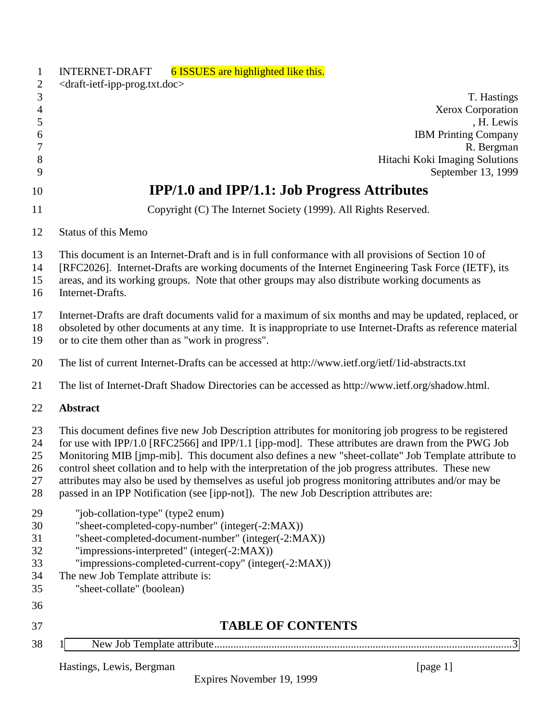| $\mathbf{1}$                                 | 6 ISSUES are highlighted like this.<br><b>INTERNET-DRAFT</b>                                                                                                                                                                                                                                                                                                                                                                                                                                                                                                                                                                   |
|----------------------------------------------|--------------------------------------------------------------------------------------------------------------------------------------------------------------------------------------------------------------------------------------------------------------------------------------------------------------------------------------------------------------------------------------------------------------------------------------------------------------------------------------------------------------------------------------------------------------------------------------------------------------------------------|
| $\mathbf{2}$<br>$\mathfrak{Z}$               | <draft-ietf-ipp-prog.txt.doc><br/>T. Hastings</draft-ietf-ipp-prog.txt.doc>                                                                                                                                                                                                                                                                                                                                                                                                                                                                                                                                                    |
| $\overline{4}$                               | Xerox Corporation                                                                                                                                                                                                                                                                                                                                                                                                                                                                                                                                                                                                              |
| $\sqrt{5}$                                   | , H. Lewis                                                                                                                                                                                                                                                                                                                                                                                                                                                                                                                                                                                                                     |
| 6<br>$\boldsymbol{7}$                        | <b>IBM Printing Company</b><br>R. Bergman                                                                                                                                                                                                                                                                                                                                                                                                                                                                                                                                                                                      |
| $8\,$                                        | Hitachi Koki Imaging Solutions                                                                                                                                                                                                                                                                                                                                                                                                                                                                                                                                                                                                 |
| 9                                            | September 13, 1999                                                                                                                                                                                                                                                                                                                                                                                                                                                                                                                                                                                                             |
| 10                                           | <b>IPP/1.0 and IPP/1.1: Job Progress Attributes</b>                                                                                                                                                                                                                                                                                                                                                                                                                                                                                                                                                                            |
| 11                                           | Copyright (C) The Internet Society (1999). All Rights Reserved.                                                                                                                                                                                                                                                                                                                                                                                                                                                                                                                                                                |
| 12                                           | <b>Status of this Memo</b>                                                                                                                                                                                                                                                                                                                                                                                                                                                                                                                                                                                                     |
| 13<br>14<br>15<br>16                         | This document is an Internet-Draft and is in full conformance with all provisions of Section 10 of<br>[RFC2026]. Internet-Drafts are working documents of the Internet Engineering Task Force (IETF), its<br>areas, and its working groups. Note that other groups may also distribute working documents as<br>Internet-Drafts.                                                                                                                                                                                                                                                                                                |
| 17<br>18<br>19                               | Internet-Drafts are draft documents valid for a maximum of six months and may be updated, replaced, or<br>obsoleted by other documents at any time. It is inappropriate to use Internet-Drafts as reference material<br>or to cite them other than as "work in progress".                                                                                                                                                                                                                                                                                                                                                      |
| 20                                           | The list of current Internet-Drafts can be accessed at http://www.ietf.org/ietf/1id-abstracts.txt                                                                                                                                                                                                                                                                                                                                                                                                                                                                                                                              |
| 21                                           | The list of Internet-Draft Shadow Directories can be accessed as http://www.ietf.org/shadow.html.                                                                                                                                                                                                                                                                                                                                                                                                                                                                                                                              |
| 22                                           | <b>Abstract</b>                                                                                                                                                                                                                                                                                                                                                                                                                                                                                                                                                                                                                |
| 23<br>24<br>25<br>26<br>27<br>28             | This document defines five new Job Description attributes for monitoring job progress to be registered<br>for use with IPP/1.0 [RFC2566] and IPP/1.1 [ipp-mod]. These attributes are drawn from the PWG Job<br>Monitoring MIB [jmp-mib]. This document also defines a new "sheet-collate" Job Template attribute to<br>control sheet collation and to help with the interpretation of the job progress attributes. These new<br>attributes may also be used by themselves as useful job progress monitoring attributes and/or may be<br>passed in an IPP Notification (see [ipp-not]). The new Job Description attributes are: |
| 29<br>30<br>31<br>32<br>33<br>34<br>35<br>36 | "job-collation-type" (type2 enum)<br>"sheet-completed-copy-number" (integer(-2:MAX))<br>"sheet-completed-document-number" (integer(-2:MAX))<br>"impressions-interpreted" (integer(-2:MAX))<br>"impressions-completed-current-copy" (integer(-2:MAX))<br>The new Job Template attribute is:<br>"sheet-collate" (boolean)                                                                                                                                                                                                                                                                                                        |
| 37                                           | <b>TABLE OF CONTENTS</b>                                                                                                                                                                                                                                                                                                                                                                                                                                                                                                                                                                                                       |
| 38                                           | 1                                                                                                                                                                                                                                                                                                                                                                                                                                                                                                                                                                                                                              |
|                                              | Hastings, Lewis, Bergman<br>[page 1]                                                                                                                                                                                                                                                                                                                                                                                                                                                                                                                                                                                           |

Expires November 19, 1999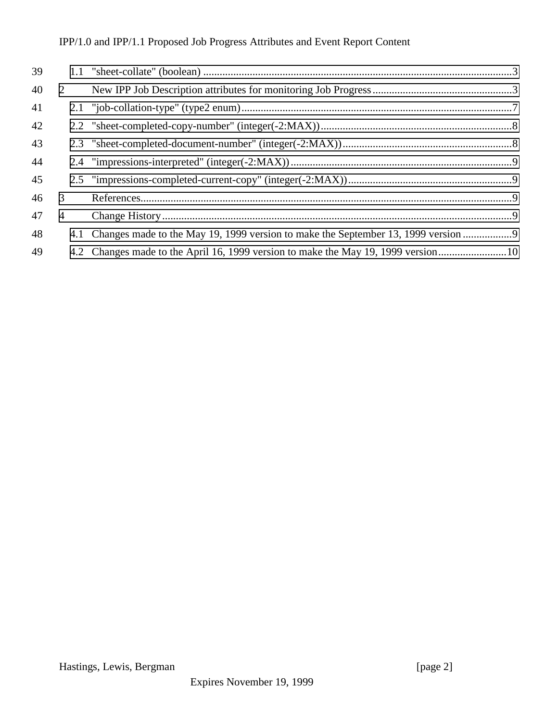## IPP/1.0 and IPP/1.1 Proposed Job Progress Attributes and Event Report Content

| 39 |                |                                                                                     |
|----|----------------|-------------------------------------------------------------------------------------|
| 40 | 2              |                                                                                     |
| 41 |                |                                                                                     |
| 42 |                |                                                                                     |
| 43 |                |                                                                                     |
| 44 |                |                                                                                     |
| 45 |                |                                                                                     |
| 46 | 3              |                                                                                     |
| 47 | $\overline{4}$ |                                                                                     |
| 48 |                | 4.1 Changes made to the May 19, 1999 version to make the September 13, 1999 version |
| 49 |                |                                                                                     |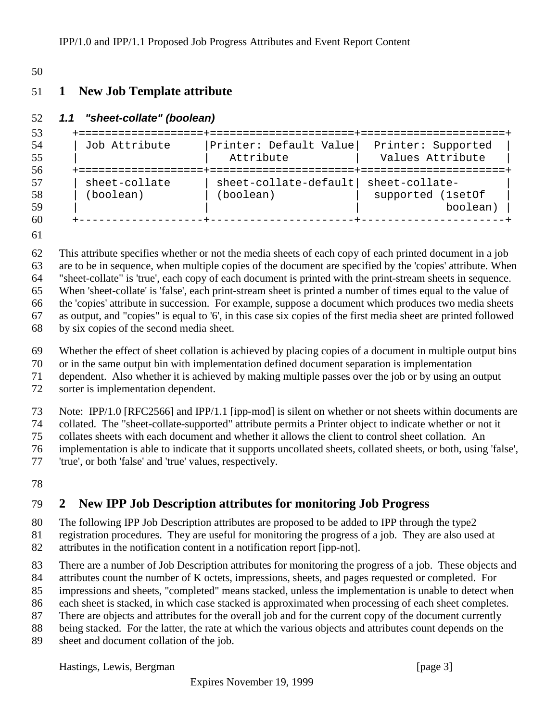#### <span id="page-2-0"></span>

## **1 New Job Template attribute**

#### *1.1 "sheet-collate" (boolean)*

```
53 +===================+======================+======================+
54 | Job Attribute |Printer: Default Value| Printer: Supported |
55 | | | Attribute | Values Attribute
56 +===================+======================+======================+
57 | sheet-collate | sheet-collate-default| sheet-collate- |
58 | (boolean) | (boolean) | supported (1setOf
59 | | | boolean) |
60 +-------------------+----------------------+----------------------+
```
 This attribute specifies whether or not the media sheets of each copy of each printed document in a job are to be in sequence, when multiple copies of the document are specified by the 'copies' attribute. When "sheet-collate" is 'true', each copy of each document is printed with the print-stream sheets in sequence. When 'sheet-collate' is 'false', each print-stream sheet is printed a number of times equal to the value of the 'copies' attribute in succession. For example, suppose a document which produces two media sheets as output, and "copies" is equal to '6', in this case six copies of the first media sheet are printed followed

by six copies of the second media sheet.

Whether the effect of sheet collation is achieved by placing copies of a document in multiple output bins

or in the same output bin with implementation defined document separation is implementation

dependent. Also whether it is achieved by making multiple passes over the job or by using an output

sorter is implementation dependent.

Note: IPP/1.0 [RFC2566] and IPP/1.1 [ipp-mod] is silent on whether or not sheets within documents are

collated. The "sheet-collate-supported" attribute permits a Printer object to indicate whether or not it

collates sheets with each document and whether it allows the client to control sheet collation. An

implementation is able to indicate that it supports uncollated sheets, collated sheets, or both, using 'false',

'true', or both 'false' and 'true' values, respectively.

# **2 New IPP Job Description attributes for monitoring Job Progress**

The following IPP Job Description attributes are proposed to be added to IPP through the type2

registration procedures. They are useful for monitoring the progress of a job. They are also used at

attributes in the notification content in a notification report [ipp-not].

There are a number of Job Description attributes for monitoring the progress of a job. These objects and

attributes count the number of K octets, impressions, sheets, and pages requested or completed. For

impressions and sheets, "completed" means stacked, unless the implementation is unable to detect when

each sheet is stacked, in which case stacked is approximated when processing of each sheet completes.

There are objects and attributes for the overall job and for the current copy of the document currently

being stacked. For the latter, the rate at which the various objects and attributes count depends on the

sheet and document collation of the job.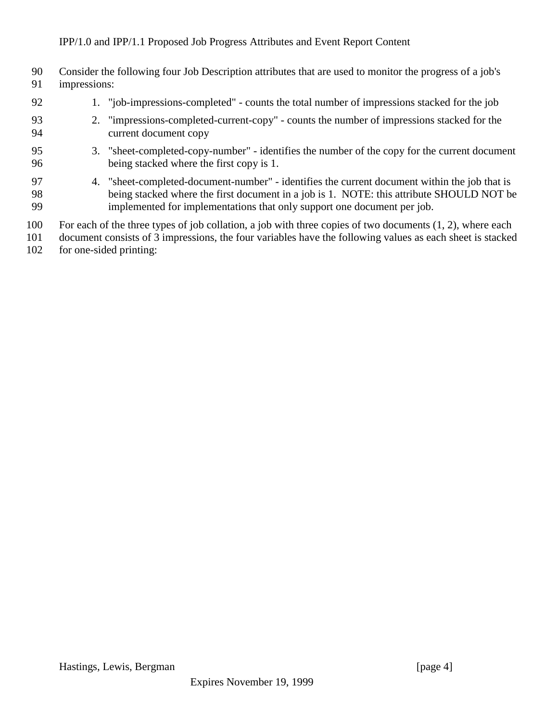| 90<br>91          | impressions: | Consider the following four Job Description attributes that are used to monitor the progress of a job's                                                                                                                                                              |
|-------------------|--------------|----------------------------------------------------------------------------------------------------------------------------------------------------------------------------------------------------------------------------------------------------------------------|
| 92                |              | 1. "job-impressions-completed" - counts the total number of impressions stacked for the job                                                                                                                                                                          |
| 93<br>94          |              | 2. "impressions-completed-current-copy" - counts the number of impressions stacked for the<br>current document copy                                                                                                                                                  |
| 95<br>96          |              | 3. "sheet-completed-copy-number" - identifies the number of the copy for the current document<br>being stacked where the first copy is 1.                                                                                                                            |
| 97<br>98<br>99    |              | 4. "sheet-completed-document-number" - identifies the current document within the job that is<br>being stacked where the first document in a job is 1. NOTE: this attribute SHOULD NOT be<br>implemented for implementations that only support one document per job. |
| 100<br>101<br>102 |              | For each of the three types of job collation, a job with three copies of two documents $(1, 2)$ , where each<br>document consists of 3 impressions, the four variables have the following values as each sheet is stacked<br>for one-sided printing:                 |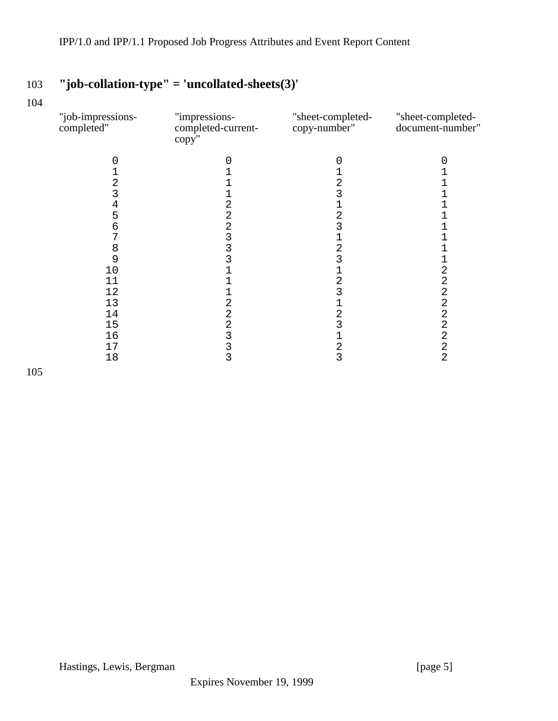# 103 **"job-collation-type" = 'uncollated-sheets(3)'**

104

| "job-impressions-<br>completed" | "impressions-<br>completed-current-<br>copy" | "sheet-completed-<br>copy-number" | "sheet-completed-<br>document-number" |
|---------------------------------|----------------------------------------------|-----------------------------------|---------------------------------------|
| 0                               |                                              |                                   | 0                                     |
|                                 |                                              |                                   |                                       |
| 2                               |                                              | 2                                 |                                       |
| 3                               |                                              |                                   |                                       |
| 4                               | 2                                            |                                   |                                       |
| 5                               | $\overline{a}$                               | 2                                 |                                       |
| 6                               | 2                                            | 3                                 |                                       |
| 7                               | 3                                            |                                   |                                       |
| 8                               | 3                                            | 2                                 |                                       |
| 9                               | 3                                            | 3                                 |                                       |
| 10                              |                                              |                                   | 2                                     |
| 11                              |                                              | 2                                 | $\overline{a}$                        |
| 12                              |                                              | 3                                 | $\overline{\mathbf{c}}$               |
| 13                              | 2                                            |                                   | $\overline{a}$                        |
| 14                              | 2                                            | 2                                 | $\overline{a}$                        |
| 15                              | 2                                            | 3                                 | $\overline{2}$                        |
| 16                              | 3                                            |                                   | $\overline{a}$                        |
| 17                              | 3                                            | $\overline{c}$                    | $\overline{\mathbf{c}}$               |
| 18                              | 3                                            | 3                                 | $\overline{2}$                        |
|                                 |                                              |                                   |                                       |

105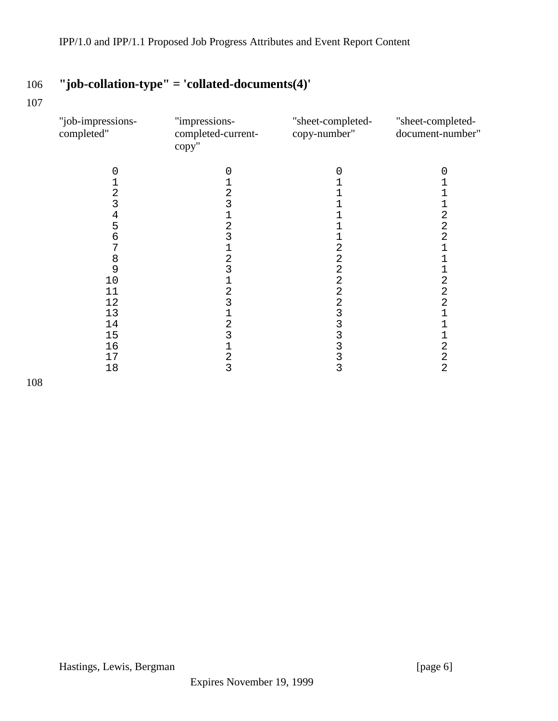# 106 **"job-collation-type" = 'collated-documents(4)'**

107

| "job-impressions-<br>completed" | "impressions-<br>completed-current-<br>copy" | "sheet-completed-<br>copy-number" | "sheet-completed-<br>document-number" |
|---------------------------------|----------------------------------------------|-----------------------------------|---------------------------------------|
|                                 |                                              |                                   |                                       |
|                                 |                                              |                                   |                                       |
| 2                               | 2                                            |                                   |                                       |
|                                 |                                              |                                   |                                       |
| 4                               |                                              |                                   | 2                                     |
| 5                               | 2<br>3                                       |                                   | 2<br>$\overline{2}$                   |
| 6                               |                                              |                                   |                                       |
| 8                               | 2                                            | 2                                 |                                       |
| 9                               | 3                                            | 2                                 |                                       |
| 10                              |                                              | 2                                 | 2                                     |
| 11                              | 2                                            | 2                                 | 2                                     |
| 12                              | 3                                            |                                   | 2                                     |
| 13                              |                                              |                                   |                                       |
| 14                              | 2                                            |                                   |                                       |
| 15                              | 3                                            |                                   |                                       |
| 16                              |                                              |                                   | 2                                     |
| 17                              | 2                                            |                                   | 2                                     |
| 18                              | 3                                            | 3                                 | $\overline{2}$                        |
|                                 |                                              |                                   |                                       |

108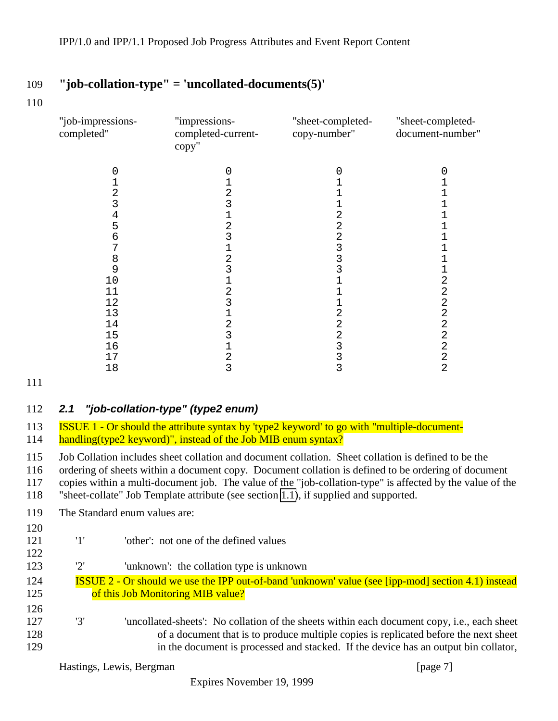## <span id="page-6-0"></span>109 **"job-collation-type" = 'uncollated-documents(5)'**

110

| "job-impressions-<br>completed" | "impressions-<br>completed-current-<br>copy" | "sheet-completed-<br>copy-number" | "sheet-completed-<br>document-number" |
|---------------------------------|----------------------------------------------|-----------------------------------|---------------------------------------|
|                                 |                                              |                                   |                                       |
|                                 |                                              |                                   |                                       |
|                                 | 2                                            |                                   |                                       |
|                                 | 3                                            |                                   |                                       |
| 4                               |                                              |                                   |                                       |
| 5                               | 2                                            |                                   |                                       |
|                                 |                                              |                                   |                                       |
|                                 |                                              |                                   |                                       |
| 8                               | 2                                            |                                   |                                       |
| 9                               | 3                                            |                                   |                                       |
| 10                              |                                              |                                   | 2                                     |
| 11                              | 2                                            |                                   | 2                                     |
| 12                              | 3                                            |                                   | 2                                     |
| 13                              |                                              |                                   | 2                                     |
| 14                              |                                              |                                   | 2                                     |
| 15                              |                                              |                                   | 2                                     |
| 16                              |                                              |                                   | $\overline{2}$                        |
| 17                              | 2                                            |                                   | 2                                     |
| 18                              | 3                                            | 3                                 | 2                                     |

111

#### 112 *2.1 "job-collation-type" (type2 enum)*

113 ISSUE 1 - Or should the attribute syntax by 'type2 keyword' to go with "multiple-document-114 handling(type2 keyword)", instead of the Job MIB enum syntax?

115 Job Collation includes sheet collation and document collation. Sheet collation is defined to be the 116 ordering of sheets within a document copy. Document collation is defined to be ordering of document

117 copies within a multi-document job. The value of the "job-collation-type" is affected by the value of the 118 "sheet-collate" Job Template attribute (see section [1.1\)](#page-2-0), if supplied and supported.

- 119 The Standard enum values are:
- 120

122

- 121 '1' 'other': not one of the defined values
- 123 '2' 'unknown': the collation type is unknown
- 124 ISSUE 2 Or should we use the IPP out-of-band 'unknown' value (see [ipp-mod] section 4.1) instead 125 **of this Job Monitoring MIB value?**
- 126 127 '3' 'uncollated-sheets': No collation of the sheets within each document copy, i.e., each sheet 128 of a document that is to produce multiple copies is replicated before the next sheet 129 in the document is processed and stacked. If the device has an output bin collator,

Hastings, Lewis, Bergman [page 7]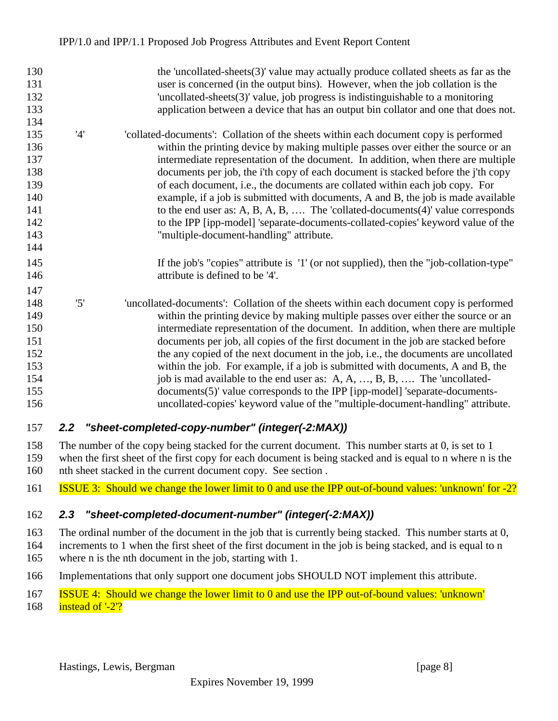<span id="page-7-0"></span>

| 130<br>the 'uncollated-sheets $(3)$ ' value may actually produce collated sheets as far as the<br>user is concerned (in the output bins). However, when the job collation is the<br>131<br>132<br>'uncollated-sheets(3)' value, job progress is indistinguishable to a monitoring<br>133<br>application between a device that has an output bin collator and one that does not.<br>134<br>135<br>'4'<br>collated-documents': Collation of the sheets within each document copy is performed<br>136<br>within the printing device by making multiple passes over either the source or an<br>137<br>intermediate representation of the document. In addition, when there are multiple<br>138<br>documents per job, the i'th copy of each document is stacked before the j'th copy<br>139<br>of each document, i.e., the documents are collated within each job copy. For<br>140<br>example, if a job is submitted with documents, A and B, the job is made available |  |
|--------------------------------------------------------------------------------------------------------------------------------------------------------------------------------------------------------------------------------------------------------------------------------------------------------------------------------------------------------------------------------------------------------------------------------------------------------------------------------------------------------------------------------------------------------------------------------------------------------------------------------------------------------------------------------------------------------------------------------------------------------------------------------------------------------------------------------------------------------------------------------------------------------------------------------------------------------------------|--|
|                                                                                                                                                                                                                                                                                                                                                                                                                                                                                                                                                                                                                                                                                                                                                                                                                                                                                                                                                                    |  |
|                                                                                                                                                                                                                                                                                                                                                                                                                                                                                                                                                                                                                                                                                                                                                                                                                                                                                                                                                                    |  |
|                                                                                                                                                                                                                                                                                                                                                                                                                                                                                                                                                                                                                                                                                                                                                                                                                                                                                                                                                                    |  |
|                                                                                                                                                                                                                                                                                                                                                                                                                                                                                                                                                                                                                                                                                                                                                                                                                                                                                                                                                                    |  |
|                                                                                                                                                                                                                                                                                                                                                                                                                                                                                                                                                                                                                                                                                                                                                                                                                                                                                                                                                                    |  |
|                                                                                                                                                                                                                                                                                                                                                                                                                                                                                                                                                                                                                                                                                                                                                                                                                                                                                                                                                                    |  |
|                                                                                                                                                                                                                                                                                                                                                                                                                                                                                                                                                                                                                                                                                                                                                                                                                                                                                                                                                                    |  |
|                                                                                                                                                                                                                                                                                                                                                                                                                                                                                                                                                                                                                                                                                                                                                                                                                                                                                                                                                                    |  |
|                                                                                                                                                                                                                                                                                                                                                                                                                                                                                                                                                                                                                                                                                                                                                                                                                                                                                                                                                                    |  |
|                                                                                                                                                                                                                                                                                                                                                                                                                                                                                                                                                                                                                                                                                                                                                                                                                                                                                                                                                                    |  |
| 141<br>to the end user as: A, B, A, B,  The 'collated-documents $(4)$ ' value corresponds                                                                                                                                                                                                                                                                                                                                                                                                                                                                                                                                                                                                                                                                                                                                                                                                                                                                          |  |
| 142<br>to the IPP [ipp-model] 'separate-documents-collated-copies' keyword value of the                                                                                                                                                                                                                                                                                                                                                                                                                                                                                                                                                                                                                                                                                                                                                                                                                                                                            |  |
| 143<br>"multiple-document-handling" attribute.                                                                                                                                                                                                                                                                                                                                                                                                                                                                                                                                                                                                                                                                                                                                                                                                                                                                                                                     |  |
| 144                                                                                                                                                                                                                                                                                                                                                                                                                                                                                                                                                                                                                                                                                                                                                                                                                                                                                                                                                                |  |
| 145<br>If the job's "copies" attribute is '1' (or not supplied), then the "job-collation-type"                                                                                                                                                                                                                                                                                                                                                                                                                                                                                                                                                                                                                                                                                                                                                                                                                                                                     |  |
| attribute is defined to be '4'.<br>146                                                                                                                                                                                                                                                                                                                                                                                                                                                                                                                                                                                                                                                                                                                                                                                                                                                                                                                             |  |
| 147                                                                                                                                                                                                                                                                                                                                                                                                                                                                                                                                                                                                                                                                                                                                                                                                                                                                                                                                                                |  |
| '5'<br>148<br>'uncollated-documents': Collation of the sheets within each document copy is performed                                                                                                                                                                                                                                                                                                                                                                                                                                                                                                                                                                                                                                                                                                                                                                                                                                                               |  |
| 149<br>within the printing device by making multiple passes over either the source or an                                                                                                                                                                                                                                                                                                                                                                                                                                                                                                                                                                                                                                                                                                                                                                                                                                                                           |  |
| intermediate representation of the document. In addition, when there are multiple<br>150                                                                                                                                                                                                                                                                                                                                                                                                                                                                                                                                                                                                                                                                                                                                                                                                                                                                           |  |
| 151<br>documents per job, all copies of the first document in the job are stacked before                                                                                                                                                                                                                                                                                                                                                                                                                                                                                                                                                                                                                                                                                                                                                                                                                                                                           |  |
| 152<br>the any copied of the next document in the job, i.e., the documents are uncollated                                                                                                                                                                                                                                                                                                                                                                                                                                                                                                                                                                                                                                                                                                                                                                                                                                                                          |  |
| 153<br>within the job. For example, if a job is submitted with documents, A and B, the                                                                                                                                                                                                                                                                                                                                                                                                                                                                                                                                                                                                                                                                                                                                                                                                                                                                             |  |
| job is mad available to the end user as: A, A, , B, B,  The 'uncollated-<br>154                                                                                                                                                                                                                                                                                                                                                                                                                                                                                                                                                                                                                                                                                                                                                                                                                                                                                    |  |
| 155<br>documents(5)' value corresponds to the IPP [ipp-model] 'separate-documents-                                                                                                                                                                                                                                                                                                                                                                                                                                                                                                                                                                                                                                                                                                                                                                                                                                                                                 |  |
| uncollated-copies' keyword value of the "multiple-document-handling" attribute.<br>156                                                                                                                                                                                                                                                                                                                                                                                                                                                                                                                                                                                                                                                                                                                                                                                                                                                                             |  |

### *2.2 "sheet-completed-copy-number" (integer(-2:MAX))*

 The number of the copy being stacked for the current document. This number starts at 0, is set to 1 when the first sheet of the first copy for each document is being stacked and is equal to n where n is the nth sheet stacked in the current document copy. See section .

ISSUE 3: Should we change the lower limit to 0 and use the IPP out-of-bound values: 'unknown' for -2?

# *2.3 "sheet-completed-document-number" (integer(-2:MAX))*

The ordinal number of the document in the job that is currently being stacked. This number starts at 0,

- increments to 1 when the first sheet of the first document in the job is being stacked, and is equal to n
- where n is the nth document in the job, starting with 1.
- Implementations that only support one document jobs SHOULD NOT implement this attribute.
- ISSUE 4: Should we change the lower limit to 0 and use the IPP out-of-bound values: 'unknown'
- 168 instead of  $-2$ ?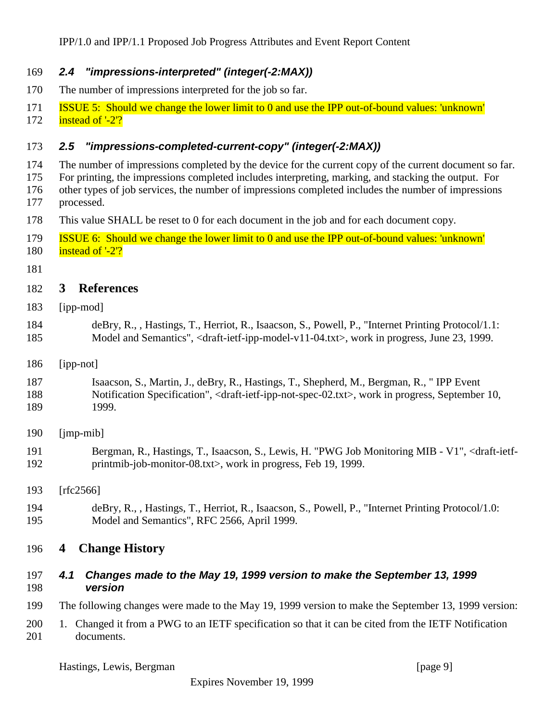## <span id="page-8-0"></span>*2.4 "impressions-interpreted" (integer(-2:MAX))*

- The number of impressions interpreted for the job so far.
- ISSUE 5: Should we change the lower limit to 0 and use the IPP out-of-bound values: 'unknown'
- 172 instead of  $-2$ ?

## *2.5 "impressions-completed-current-copy" (integer(-2:MAX))*

- The number of impressions completed by the device for the current copy of the current document so far.
- For printing, the impressions completed includes interpreting, marking, and stacking the output. For
- other types of job services, the number of impressions completed includes the number of impressions processed.
- This value SHALL be reset to 0 for each document in the job and for each document copy.
- ISSUE 6: Should we change the lower limit to 0 and use the IPP out-of-bound values: 'unknown'
- **instead of '-2'?**
- 

# **3 References**

- [ipp-mod]
- deBry, R., , Hastings, T., Herriot, R., Isaacson, S., Powell, P., "Internet Printing Protocol/1.1: Model and Semantics", <draft-ietf-ipp-model-v11-04.txt>, work in progress, June 23, 1999.
- [ipp-not]

#### Isaacson, S., Martin, J., deBry, R., Hastings, T., Shepherd, M., Bergman, R., " IPP Event Notification Specification", <draft-ietf-ipp-not-spec-02.txt>, work in progress, September 10, 1999.

- [jmp-mib]
- Bergman, R., Hastings, T., Isaacson, S., Lewis, H. "PWG Job Monitoring MIB V1", <draft-ietf-printmib-job-monitor-08.txt>, work in progress, Feb 19, 1999.
- [rfc2566]
- deBry, R., , Hastings, T., Herriot, R., Isaacson, S., Powell, P., "Internet Printing Protocol/1.0: Model and Semantics", RFC 2566, April 1999.
- **4 Change History**

#### *4.1 Changes made to the May 19, 1999 version to make the September 13, 1999 version*

- The following changes were made to the May 19, 1999 version to make the September 13, 1999 version:
- 1. Changed it from a PWG to an IETF specification so that it can be cited from the IETF Notification documents.